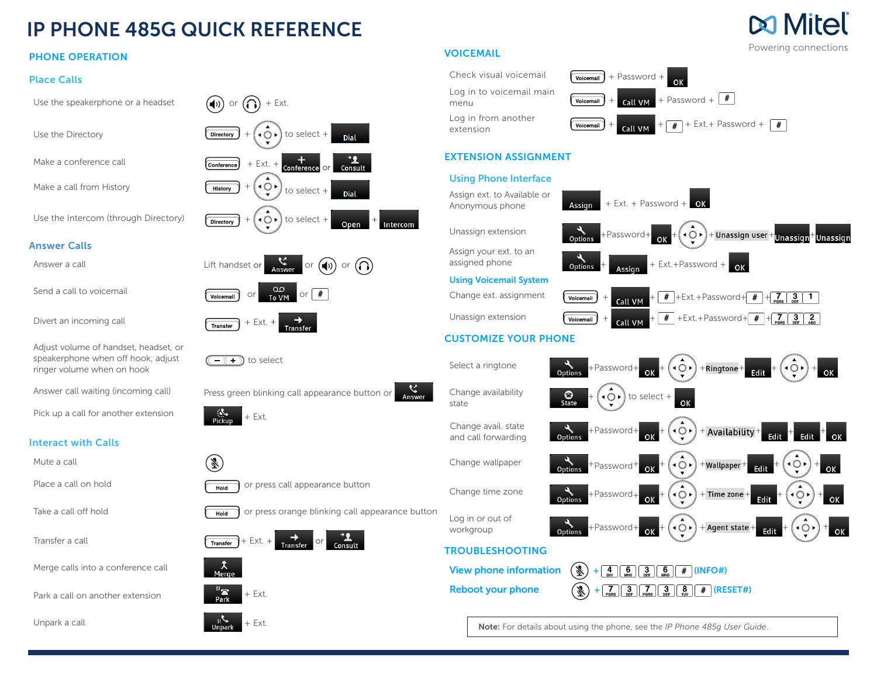# IP PHONE 485G QUICK REFERENCE

### PHONE OPERATION

#### Place Calls

Answer Calls

Mute a call

Unpark a call  $\overline{ }$   $\overline{ }$   $\overline{ }$   $\overline{ }$   $\overline{ }$   $\overline{ }$   $\overline{ }$   $\overline{ }$   $\overline{ }$   $\overline{ }$   $\overline{ }$   $\overline{ }$   $\overline{ }$   $\overline{ }$   $\overline{ }$   $\overline{ }$   $\overline{ }$   $\overline{ }$   $\overline{ }$   $\overline{ }$   $\overline{ }$   $\overline{ }$   $\overline{ }$   $\overline{ }$   $\overline{ }$   $\overline{ }$ 



### VOICEMAIL



## EXTENSION ASSIGNMENT

#### Using Phone Interface



Note: For details about using the phone, see the *IP Phone 485g User Guide*.